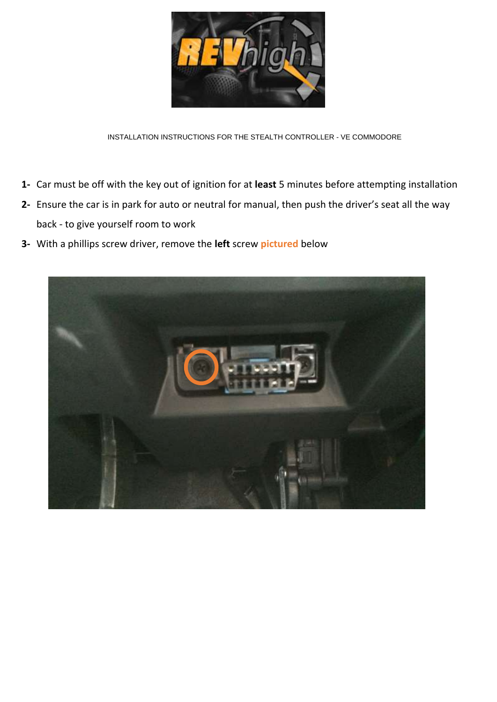

INSTALLATION INSTRUCTIONS FOR THE STEALTH CONTROLLER - VE COMMODORE

- **1-** Car must be off with the key out of ignition for at **least** 5 minutes before attempting installation
- **2-** Ensure the car is in park for auto or neutral for manual, then push the driver's seat all the way back - to give yourself room to work
- **3-** With a phillips screw driver, remove the **left** screw **pictured** below

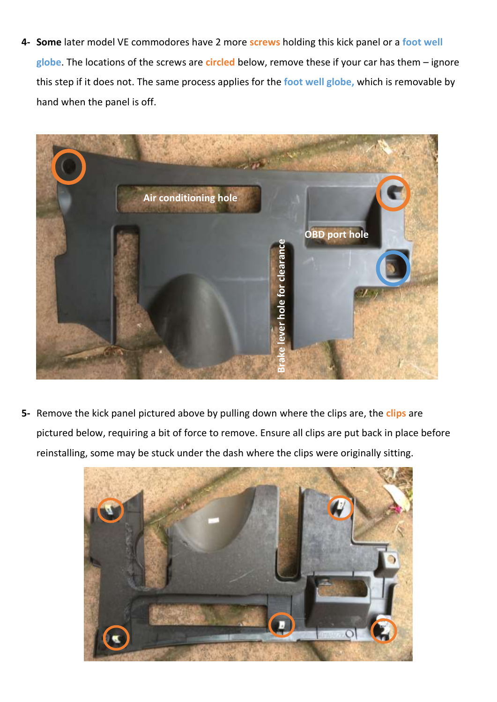**4- Some** later model VE commodores have 2 more **screws** holding this kick panel or a **foot well globe**. The locations of the screws are **circled** below, remove these if your car has them – ignore this step if it does not. The same process applies for the **foot well globe,** which is removable by hand when the panel is off.



**5-** Remove the kick panel pictured above by pulling down where the clips are, the **clips** are pictured below, requiring a bit of force to remove. Ensure all clips are put back in place before reinstalling, some may be stuck under the dash where the clips were originally sitting.

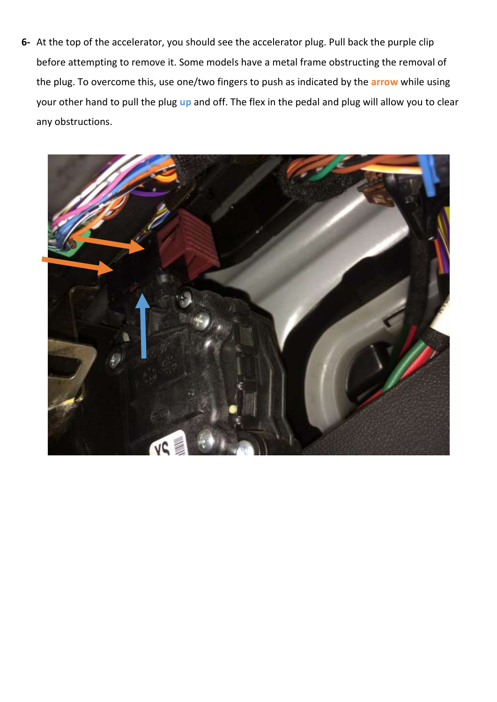**6-** At the top of the accelerator, you should see the accelerator plug. Pull back the purple clip before attempting to remove it. Some models have a metal frame obstructing the removal of the plug. To overcome this, use one/two fingers to push as indicated by the **arrow** while using your other hand to pull the plug **up** and off. The flex in the pedal and plug will allow you to clear any obstructions.

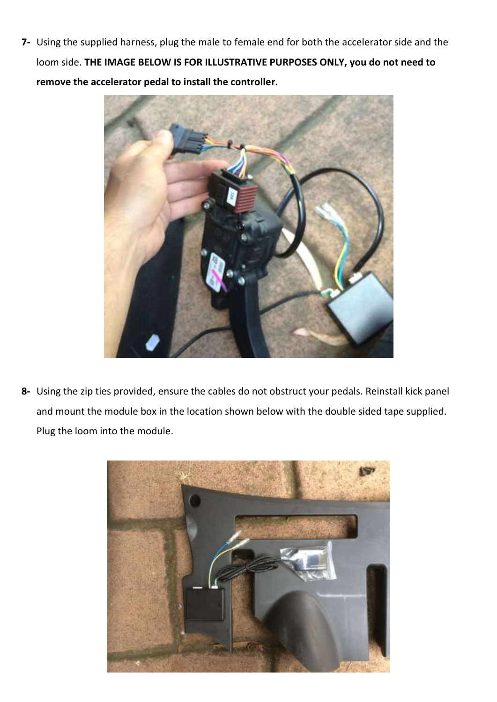**7-** Using the supplied harness, plug the male to female end for both the accelerator side and the loom side. **THE IMAGE BELOW IS FOR ILLUSTRATIVE PURPOSES ONLY, you do not need to remove the accelerator pedal to install the controller.**



**8-** Using the zip ties provided, ensure the cables do not obstruct your pedals. Reinstall kick panel and mount the module box in the location shown below with the double sided tape supplied. Plug the loom into the module.